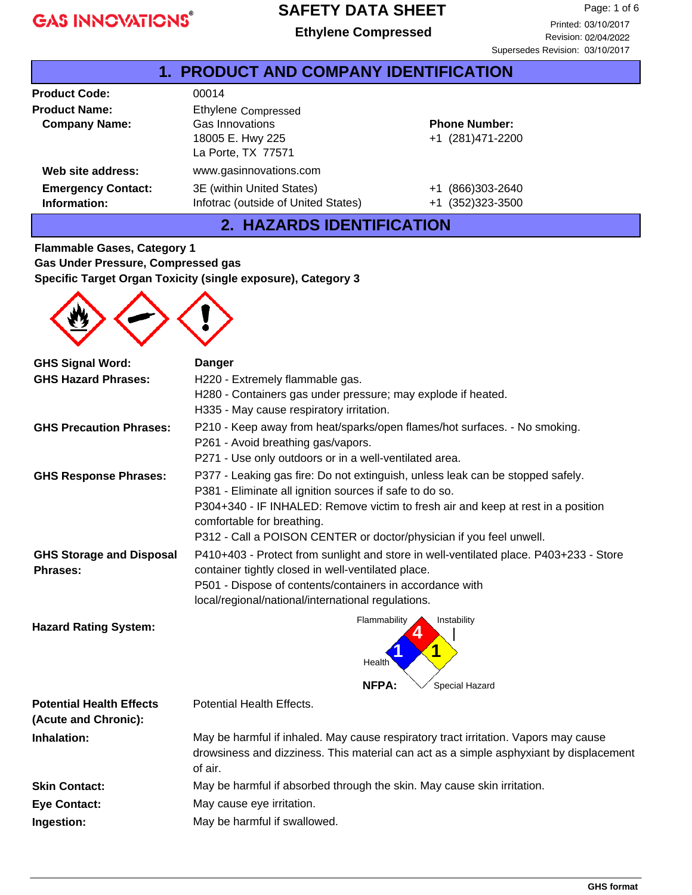#### **SAFETY DATA SHEET**

**Ethylene Ethylene Compressed**

| 1.                                           | <b>PRODUCT AND COMPANY IDENTIFICATION</b>                                        |                                           |  |
|----------------------------------------------|----------------------------------------------------------------------------------|-------------------------------------------|--|
| <b>Product Code:</b>                         | 00014                                                                            |                                           |  |
| <b>Product Name:</b><br><b>Company Name:</b> | Ethylene Compressed<br>Gas Innovations<br>18005 E. Hwy 225<br>La Porte, TX 77571 | <b>Phone Number:</b><br>+1 (281)471-2200  |  |
| Web site address:                            | www.gasinnovations.com                                                           |                                           |  |
| <b>Emergency Contact:</b><br>Information:    | 3E (within United States)<br>Infotrac (outside of United States)                 | (866)303-2640<br>$+1$<br>+1 (352)323-3500 |  |

#### **2. HAZARDS IDENTIFICATION**

**Flammable Gases, Category 1 Gas Under Pressure, Compressed gas Specific Target Organ Toxicity (single exposure), Category 3**



| <b>GHS Signal Word:</b>                            | <b>Danger</b>                                                                                                                               |
|----------------------------------------------------|---------------------------------------------------------------------------------------------------------------------------------------------|
| <b>GHS Hazard Phrases:</b>                         | H220 - Extremely flammable gas.                                                                                                             |
|                                                    | H280 - Containers gas under pressure; may explode if heated.                                                                                |
|                                                    | H335 - May cause respiratory irritation.                                                                                                    |
| <b>GHS Precaution Phrases:</b>                     | P210 - Keep away from heat/sparks/open flames/hot surfaces. - No smoking.                                                                   |
|                                                    | P261 - Avoid breathing gas/vapors.                                                                                                          |
|                                                    | P271 - Use only outdoors or in a well-ventilated area.                                                                                      |
| <b>GHS Response Phrases:</b>                       | P377 - Leaking gas fire: Do not extinguish, unless leak can be stopped safely.<br>P381 - Eliminate all ignition sources if safe to do so.   |
|                                                    | P304+340 - IF INHALED: Remove victim to fresh air and keep at rest in a position<br>comfortable for breathing.                              |
|                                                    | P312 - Call a POISON CENTER or doctor/physician if you feel unwell.                                                                         |
| <b>GHS Storage and Disposal</b><br><b>Phrases:</b> | P410+403 - Protect from sunlight and store in well-ventilated place. P403+233 - Store<br>container tightly closed in well-ventilated place. |
|                                                    | P501 - Dispose of contents/containers in accordance with                                                                                    |
|                                                    | local/regional/national/international regulations.                                                                                          |
| <b>Hazard Rating System:</b>                       | Flammability<br>Instability                                                                                                                 |
|                                                    |                                                                                                                                             |
|                                                    | Health                                                                                                                                      |
|                                                    | Special Hazard<br><b>NFPA:</b>                                                                                                              |
| <b>Potential Health Effects</b>                    | Potential Health Effects.                                                                                                                   |
| (Acute and Chronic):                               |                                                                                                                                             |
| <b>Inhalation:</b>                                 | May be harmful if inhaled. May cause respiratory tract irritation. Vapors may cause                                                         |
|                                                    | drowsiness and dizziness. This material can act as a simple asphyxiant by displacement<br>of air.                                           |
| <b>Skin Contact:</b>                               | May be harmful if absorbed through the skin. May cause skin irritation.                                                                     |
| <b>Eye Contact:</b>                                | May cause eye irritation.                                                                                                                   |
| Ingestion:                                         | May be harmful if swallowed.                                                                                                                |
|                                                    |                                                                                                                                             |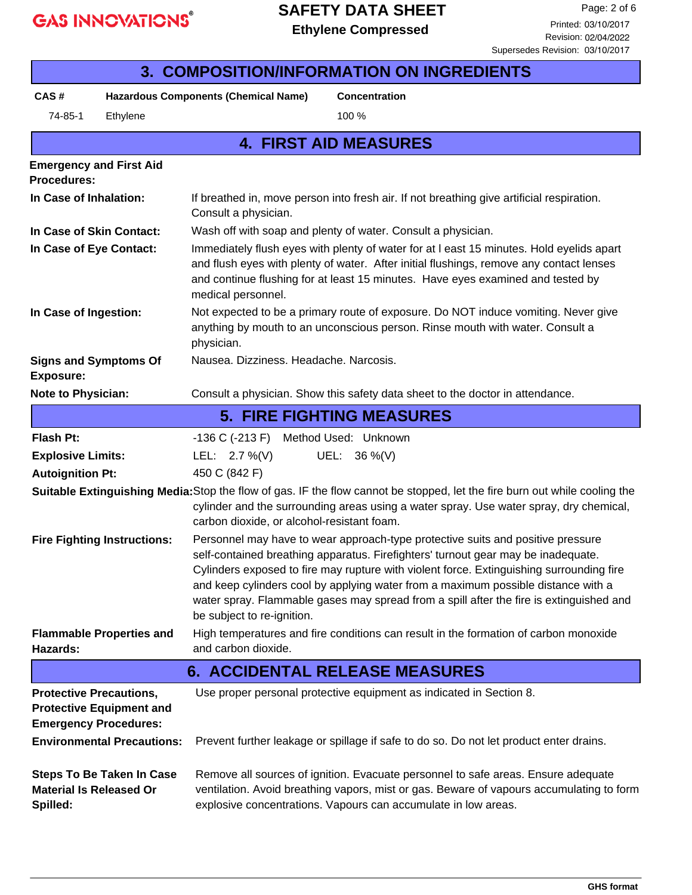#### **SAFETY DATA SHEET**

**Ethylene Ethylene Compressed** Printed: 03/10/2017

Supersedes Revision: 03/10/2017

| <b>3. COMPOSITION/INFORMATION ON INGREDIENTS</b>                                                                                                                                                                                                                   |                                                                       |                                                                                                                                                                                                                                                                                                                                                                                                                                                                                |                                                                     |  |  |  |
|--------------------------------------------------------------------------------------------------------------------------------------------------------------------------------------------------------------------------------------------------------------------|-----------------------------------------------------------------------|--------------------------------------------------------------------------------------------------------------------------------------------------------------------------------------------------------------------------------------------------------------------------------------------------------------------------------------------------------------------------------------------------------------------------------------------------------------------------------|---------------------------------------------------------------------|--|--|--|
| CAS#                                                                                                                                                                                                                                                               |                                                                       | <b>Hazardous Components (Chemical Name)</b>                                                                                                                                                                                                                                                                                                                                                                                                                                    | <b>Concentration</b>                                                |  |  |  |
| 74-85-1                                                                                                                                                                                                                                                            | Ethylene                                                              |                                                                                                                                                                                                                                                                                                                                                                                                                                                                                | 100 %                                                               |  |  |  |
|                                                                                                                                                                                                                                                                    | <b>4. FIRST AID MEASURES</b>                                          |                                                                                                                                                                                                                                                                                                                                                                                                                                                                                |                                                                     |  |  |  |
| <b>Emergency and First Aid</b><br><b>Procedures:</b>                                                                                                                                                                                                               |                                                                       |                                                                                                                                                                                                                                                                                                                                                                                                                                                                                |                                                                     |  |  |  |
| In Case of Inhalation:<br>If breathed in, move person into fresh air. If not breathing give artificial respiration.<br>Consult a physician.                                                                                                                        |                                                                       |                                                                                                                                                                                                                                                                                                                                                                                                                                                                                |                                                                     |  |  |  |
| In Case of Skin Contact:                                                                                                                                                                                                                                           |                                                                       |                                                                                                                                                                                                                                                                                                                                                                                                                                                                                | Wash off with soap and plenty of water. Consult a physician.        |  |  |  |
| In Case of Eye Contact:                                                                                                                                                                                                                                            |                                                                       | Immediately flush eyes with plenty of water for at I east 15 minutes. Hold eyelids apart<br>and flush eyes with plenty of water. After initial flushings, remove any contact lenses<br>and continue flushing for at least 15 minutes. Have eyes examined and tested by<br>medical personnel.                                                                                                                                                                                   |                                                                     |  |  |  |
| In Case of Ingestion:                                                                                                                                                                                                                                              |                                                                       | Not expected to be a primary route of exposure. Do NOT induce vomiting. Never give<br>anything by mouth to an unconscious person. Rinse mouth with water. Consult a<br>physician.                                                                                                                                                                                                                                                                                              |                                                                     |  |  |  |
| <b>Signs and Symptoms Of</b><br><b>Exposure:</b>                                                                                                                                                                                                                   |                                                                       | Nausea. Dizziness. Headache. Narcosis.                                                                                                                                                                                                                                                                                                                                                                                                                                         |                                                                     |  |  |  |
| Note to Physician:<br>Consult a physician. Show this safety data sheet to the doctor in attendance.                                                                                                                                                                |                                                                       |                                                                                                                                                                                                                                                                                                                                                                                                                                                                                |                                                                     |  |  |  |
|                                                                                                                                                                                                                                                                    |                                                                       |                                                                                                                                                                                                                                                                                                                                                                                                                                                                                | <b>5. FIRE FIGHTING MEASURES</b>                                    |  |  |  |
| <b>Flash Pt:</b>                                                                                                                                                                                                                                                   |                                                                       | -136 C (-213 F)                                                                                                                                                                                                                                                                                                                                                                                                                                                                | Method Used: Unknown                                                |  |  |  |
| <b>Explosive Limits:</b>                                                                                                                                                                                                                                           |                                                                       | LEL: $2.7\%$ (V)                                                                                                                                                                                                                                                                                                                                                                                                                                                               | UEL: 36 %(V)                                                        |  |  |  |
|                                                                                                                                                                                                                                                                    | 450 C (842 F)<br><b>Autoignition Pt:</b>                              |                                                                                                                                                                                                                                                                                                                                                                                                                                                                                |                                                                     |  |  |  |
| Suitable Extinguishing Media: Stop the flow of gas. IF the flow cannot be stopped, let the fire burn out while cooling the<br>cylinder and the surrounding areas using a water spray. Use water spray, dry chemical,<br>carbon dioxide, or alcohol-resistant foam. |                                                                       |                                                                                                                                                                                                                                                                                                                                                                                                                                                                                |                                                                     |  |  |  |
|                                                                                                                                                                                                                                                                    | <b>Fire Fighting Instructions:</b>                                    | Personnel may have to wear approach-type protective suits and positive pressure<br>self-contained breathing apparatus. Firefighters' turnout gear may be inadequate.<br>Cylinders exposed to fire may rupture with violent force. Extinguishing surrounding fire<br>and keep cylinders cool by applying water from a maximum possible distance with a<br>water spray. Flammable gases may spread from a spill after the fire is extinguished and<br>be subject to re-ignition. |                                                                     |  |  |  |
| <b>Hazards:</b>                                                                                                                                                                                                                                                    | <b>Flammable Properties and</b>                                       | High temperatures and fire conditions can result in the formation of carbon monoxide<br>and carbon dioxide.                                                                                                                                                                                                                                                                                                                                                                    |                                                                     |  |  |  |
| <b>6. ACCIDENTAL RELEASE MEASURES</b>                                                                                                                                                                                                                              |                                                                       |                                                                                                                                                                                                                                                                                                                                                                                                                                                                                |                                                                     |  |  |  |
| <b>Protective Precautions,</b><br><b>Protective Equipment and</b><br><b>Emergency Procedures:</b>                                                                                                                                                                  |                                                                       |                                                                                                                                                                                                                                                                                                                                                                                                                                                                                | Use proper personal protective equipment as indicated in Section 8. |  |  |  |
| <b>Material Is Released Or</b>                                                                                                                                                                                                                                     | <b>Environmental Precautions:</b><br><b>Steps To Be Taken In Case</b> | Prevent further leakage or spillage if safe to do so. Do not let product enter drains.<br>Remove all sources of ignition. Evacuate personnel to safe areas. Ensure adequate<br>ventilation. Avoid breathing vapors, mist or gas. Beware of vapours accumulating to form                                                                                                                                                                                                        |                                                                     |  |  |  |
| Spilled:                                                                                                                                                                                                                                                           |                                                                       |                                                                                                                                                                                                                                                                                                                                                                                                                                                                                | explosive concentrations. Vapours can accumulate in low areas.      |  |  |  |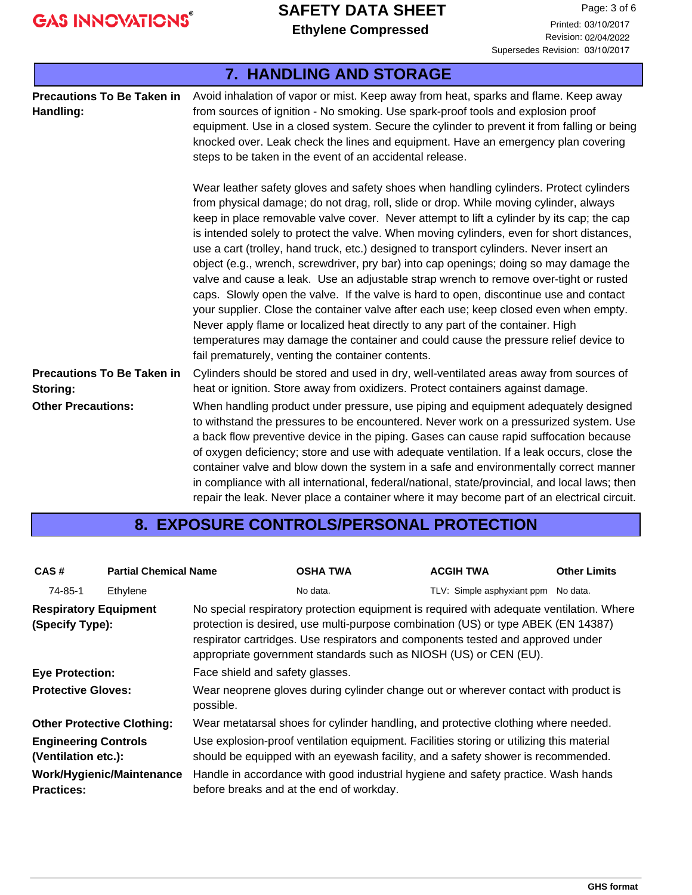# **SAFETY DATA SHEET**

**Ethylene Ethylene Compressed** Printed: 03/10/2017

| <b>7. HANDLING AND STORAGE</b>                 |                                                                                                                                                                                                                                                                                                                                                                                                                                                                                                                                                                                                                                                                                                                                                                                                                                                                                                                                                                                                                                                                           |  |  |
|------------------------------------------------|---------------------------------------------------------------------------------------------------------------------------------------------------------------------------------------------------------------------------------------------------------------------------------------------------------------------------------------------------------------------------------------------------------------------------------------------------------------------------------------------------------------------------------------------------------------------------------------------------------------------------------------------------------------------------------------------------------------------------------------------------------------------------------------------------------------------------------------------------------------------------------------------------------------------------------------------------------------------------------------------------------------------------------------------------------------------------|--|--|
| <b>Precautions To Be Taken in</b><br>Handling: | Avoid inhalation of vapor or mist. Keep away from heat, sparks and flame. Keep away<br>from sources of ignition - No smoking. Use spark-proof tools and explosion proof<br>equipment. Use in a closed system. Secure the cylinder to prevent it from falling or being<br>knocked over. Leak check the lines and equipment. Have an emergency plan covering<br>steps to be taken in the event of an accidental release.                                                                                                                                                                                                                                                                                                                                                                                                                                                                                                                                                                                                                                                    |  |  |
|                                                | Wear leather safety gloves and safety shoes when handling cylinders. Protect cylinders<br>from physical damage; do not drag, roll, slide or drop. While moving cylinder, always<br>keep in place removable valve cover. Never attempt to lift a cylinder by its cap; the cap<br>is intended solely to protect the valve. When moving cylinders, even for short distances,<br>use a cart (trolley, hand truck, etc.) designed to transport cylinders. Never insert an<br>object (e.g., wrench, screwdriver, pry bar) into cap openings; doing so may damage the<br>valve and cause a leak. Use an adjustable strap wrench to remove over-tight or rusted<br>caps. Slowly open the valve. If the valve is hard to open, discontinue use and contact<br>your supplier. Close the container valve after each use; keep closed even when empty.<br>Never apply flame or localized heat directly to any part of the container. High<br>temperatures may damage the container and could cause the pressure relief device to<br>fail prematurely, venting the container contents. |  |  |
| <b>Precautions To Be Taken in</b><br>Storing:  | Cylinders should be stored and used in dry, well-ventilated areas away from sources of<br>heat or ignition. Store away from oxidizers. Protect containers against damage.                                                                                                                                                                                                                                                                                                                                                                                                                                                                                                                                                                                                                                                                                                                                                                                                                                                                                                 |  |  |
| <b>Other Precautions:</b>                      | When handling product under pressure, use piping and equipment adequately designed<br>to withstand the pressures to be encountered. Never work on a pressurized system. Use<br>a back flow preventive device in the piping. Gases can cause rapid suffocation because<br>of oxygen deficiency; store and use with adequate ventilation. If a leak occurs, close the<br>container valve and blow down the system in a safe and environmentally correct manner<br>in compliance with all international, federal/national, state/provincial, and local laws; then<br>repair the leak. Never place a container where it may become part of an electrical circuit.                                                                                                                                                                                                                                                                                                                                                                                                             |  |  |

#### **8. EXPOSURE CONTROLS/PERSONAL PROTECTION**

| CAS#                                               | <b>Partial Chemical Name</b>      |                                                                                                                                                                                                                                                                                                                                      | <b>OSHA TWA</b>                                                                                                                                                              | <b>ACGIH TWA</b>                    | <b>Other Limits</b> |  |  |
|----------------------------------------------------|-----------------------------------|--------------------------------------------------------------------------------------------------------------------------------------------------------------------------------------------------------------------------------------------------------------------------------------------------------------------------------------|------------------------------------------------------------------------------------------------------------------------------------------------------------------------------|-------------------------------------|---------------------|--|--|
| 74-85-1                                            | Ethylene                          |                                                                                                                                                                                                                                                                                                                                      | No data.                                                                                                                                                                     | TLV: Simple asphyxiant ppm No data. |                     |  |  |
| <b>Respiratory Equipment</b><br>(Specify Type):    |                                   | No special respiratory protection equipment is required with adequate ventilation. Where<br>protection is desired, use multi-purpose combination (US) or type ABEK (EN 14387)<br>respirator cartridges. Use respirators and components tested and approved under<br>appropriate government standards such as NIOSH (US) or CEN (EU). |                                                                                                                                                                              |                                     |                     |  |  |
| <b>Eye Protection:</b>                             |                                   | Face shield and safety glasses.                                                                                                                                                                                                                                                                                                      |                                                                                                                                                                              |                                     |                     |  |  |
| <b>Protective Gloves:</b>                          |                                   | possible.                                                                                                                                                                                                                                                                                                                            | Wear neoprene gloves during cylinder change out or wherever contact with product is                                                                                          |                                     |                     |  |  |
|                                                    | <b>Other Protective Clothing:</b> |                                                                                                                                                                                                                                                                                                                                      | Wear metatarsal shoes for cylinder handling, and protective clothing where needed.                                                                                           |                                     |                     |  |  |
| <b>Engineering Controls</b><br>(Ventilation etc.): |                                   |                                                                                                                                                                                                                                                                                                                                      | Use explosion-proof ventilation equipment. Facilities storing or utilizing this material<br>should be equipped with an eyewash facility, and a safety shower is recommended. |                                     |                     |  |  |
| <b>Practices:</b>                                  | Work/Hygienic/Maintenance         |                                                                                                                                                                                                                                                                                                                                      | Handle in accordance with good industrial hygiene and safety practice. Wash hands<br>before breaks and at the end of workday.                                                |                                     |                     |  |  |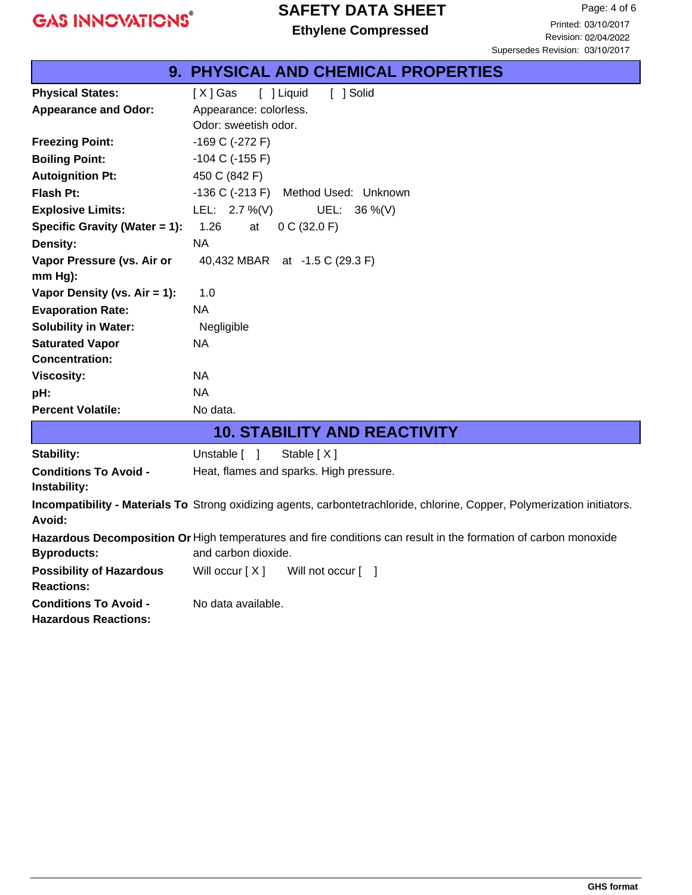#### **SAFETY DATA SHEET**

|                                 | 9. PHYSICAL AND CHEMICAL PROPERTIES                                                                                       |
|---------------------------------|---------------------------------------------------------------------------------------------------------------------------|
| <b>Physical States:</b>         | [X] Gas<br>[ ] Liquid<br>[ ] Solid                                                                                        |
| <b>Appearance and Odor:</b>     | Appearance: colorless.                                                                                                    |
|                                 | Odor: sweetish odor.                                                                                                      |
| <b>Freezing Point:</b>          | -169 C (-272 F)                                                                                                           |
| <b>Boiling Point:</b>           | $-104$ C ( $-155$ F)                                                                                                      |
| <b>Autoignition Pt:</b>         | 450 C (842 F)                                                                                                             |
| Flash Pt:                       | $-136$ C ( $-213$ F)<br>Method Used: Unknown                                                                              |
| <b>Explosive Limits:</b>        | LEL: $2.7\%$ (V)<br>UEL:<br>36 %(V)                                                                                       |
| Specific Gravity (Water = 1):   | 1.26<br>0 C (32.0 F)<br>at                                                                                                |
| Density:                        | <b>NA</b>                                                                                                                 |
| Vapor Pressure (vs. Air or      | 40,432 MBAR at -1.5 C (29.3 F)                                                                                            |
| mm Hg):                         |                                                                                                                           |
| Vapor Density (vs. Air = 1):    | 1.0                                                                                                                       |
| <b>Evaporation Rate:</b>        | <b>NA</b>                                                                                                                 |
| <b>Solubility in Water:</b>     | Negligible                                                                                                                |
| <b>Saturated Vapor</b>          | <b>NA</b>                                                                                                                 |
| <b>Concentration:</b>           |                                                                                                                           |
| <b>Viscosity:</b>               | <b>NA</b>                                                                                                                 |
| pH:                             | NA.                                                                                                                       |
| <b>Percent Volatile:</b>        | No data.                                                                                                                  |
|                                 | <b>10. STABILITY AND REACTIVITY</b>                                                                                       |
| Stability:                      | Unstable [ ]<br>Stable [X]                                                                                                |
| <b>Conditions To Avoid -</b>    | Heat, flames and sparks. High pressure.                                                                                   |
| Instability:                    |                                                                                                                           |
|                                 | Incompatibility - Materials To Strong oxidizing agents, carbontetrachloride, chlorine, Copper, Polymerization initiators. |
| Avoid:                          |                                                                                                                           |
|                                 | Hazardous Decomposition Or High temperatures and fire conditions can result in the formation of carbon monoxide           |
| <b>Byproducts:</b>              | and carbon dioxide.                                                                                                       |
| <b>Possibility of Hazardous</b> | Will occur $[X]$<br>Will not occur [ ]                                                                                    |
| <b>Reactions:</b>               |                                                                                                                           |
| <b>Conditions To Avoid -</b>    | No data available.                                                                                                        |
| <b>Hazardous Reactions:</b>     |                                                                                                                           |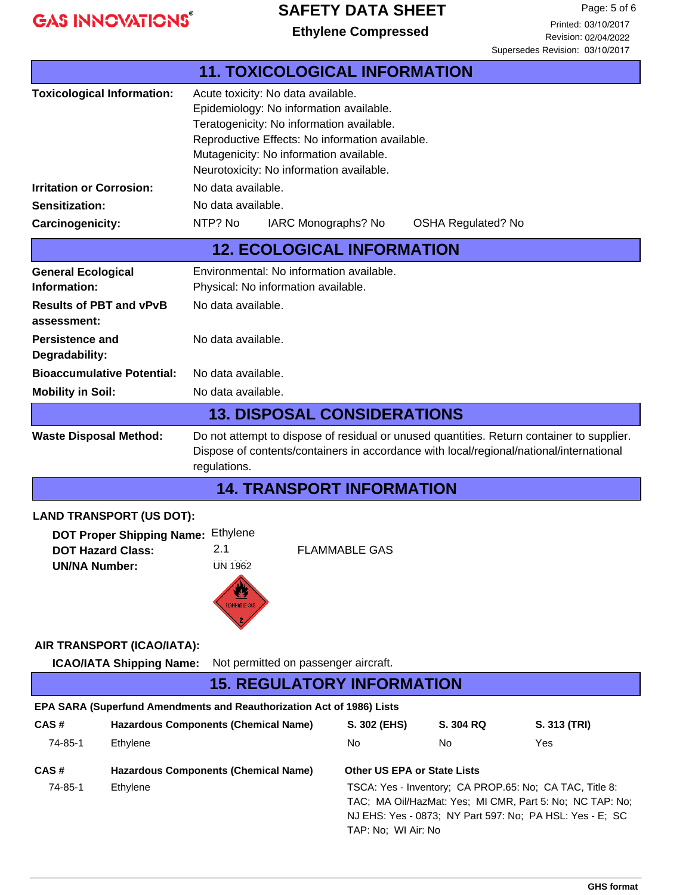#### **SAFETY DATA SHEET**

**Ethylene Ethylene Compressed**

Page: 5 of 6 Printed: 03/10/2017 Revision: 02/04/2022

|                                                                                                                         |                                                                                                                                                                                                      |                                                                                                                                                                                                                                |                                    |                           | Supersedes Revision: 03/10/2017                                                                                                                                                 |  |
|-------------------------------------------------------------------------------------------------------------------------|------------------------------------------------------------------------------------------------------------------------------------------------------------------------------------------------------|--------------------------------------------------------------------------------------------------------------------------------------------------------------------------------------------------------------------------------|------------------------------------|---------------------------|---------------------------------------------------------------------------------------------------------------------------------------------------------------------------------|--|
|                                                                                                                         |                                                                                                                                                                                                      | <b>11. TOXICOLOGICAL INFORMATION</b>                                                                                                                                                                                           |                                    |                           |                                                                                                                                                                                 |  |
| <b>Toxicological Information:</b>                                                                                       | Acute toxicity: No data available.                                                                                                                                                                   | Epidemiology: No information available.<br>Teratogenicity: No information available.<br>Reproductive Effects: No information available.<br>Mutagenicity: No information available.<br>Neurotoxicity: No information available. |                                    |                           |                                                                                                                                                                                 |  |
| <b>Irritation or Corrosion:</b>                                                                                         | No data available.                                                                                                                                                                                   |                                                                                                                                                                                                                                |                                    |                           |                                                                                                                                                                                 |  |
| <b>Sensitization:</b>                                                                                                   | No data available.                                                                                                                                                                                   |                                                                                                                                                                                                                                |                                    |                           |                                                                                                                                                                                 |  |
| Carcinogenicity:                                                                                                        | NTP? No                                                                                                                                                                                              | IARC Monographs? No                                                                                                                                                                                                            |                                    | <b>OSHA Regulated? No</b> |                                                                                                                                                                                 |  |
|                                                                                                                         |                                                                                                                                                                                                      | <b>12. ECOLOGICAL INFORMATION</b>                                                                                                                                                                                              |                                    |                           |                                                                                                                                                                                 |  |
| <b>General Ecological</b><br>Information:                                                                               |                                                                                                                                                                                                      | Environmental: No information available.<br>Physical: No information available.                                                                                                                                                |                                    |                           |                                                                                                                                                                                 |  |
| <b>Results of PBT and vPvB</b><br>assessment:                                                                           |                                                                                                                                                                                                      | No data available.                                                                                                                                                                                                             |                                    |                           |                                                                                                                                                                                 |  |
| <b>Persistence and</b><br>Degradability:                                                                                | No data available.                                                                                                                                                                                   |                                                                                                                                                                                                                                |                                    |                           |                                                                                                                                                                                 |  |
| <b>Bioaccumulative Potential:</b>                                                                                       | No data available.                                                                                                                                                                                   |                                                                                                                                                                                                                                |                                    |                           |                                                                                                                                                                                 |  |
| <b>Mobility in Soil:</b>                                                                                                | No data available.                                                                                                                                                                                   |                                                                                                                                                                                                                                |                                    |                           |                                                                                                                                                                                 |  |
|                                                                                                                         |                                                                                                                                                                                                      | <b>13. DISPOSAL CONSIDERATIONS</b>                                                                                                                                                                                             |                                    |                           |                                                                                                                                                                                 |  |
| <b>Waste Disposal Method:</b>                                                                                           | Do not attempt to dispose of residual or unused quantities. Return container to supplier.<br>Dispose of contents/containers in accordance with local/regional/national/international<br>regulations. |                                                                                                                                                                                                                                |                                    |                           |                                                                                                                                                                                 |  |
|                                                                                                                         |                                                                                                                                                                                                      | <b>14. TRANSPORT INFORMATION</b>                                                                                                                                                                                               |                                    |                           |                                                                                                                                                                                 |  |
| <b>LAND TRANSPORT (US DOT):</b><br><b>DOT Proper Shipping Name:</b><br><b>DOT Hazard Class:</b><br><b>UN/NA Number:</b> | Ethylene<br>2.1<br><b>UN 1962</b><br><b>FLAMMABLE GAS</b>                                                                                                                                            | <b>FLAMMABLE GAS</b>                                                                                                                                                                                                           |                                    |                           |                                                                                                                                                                                 |  |
| AIR TRANSPORT (ICAO/IATA):                                                                                              |                                                                                                                                                                                                      |                                                                                                                                                                                                                                |                                    |                           |                                                                                                                                                                                 |  |
| <b>ICAO/IATA Shipping Name:</b>                                                                                         |                                                                                                                                                                                                      | Not permitted on passenger aircraft.                                                                                                                                                                                           |                                    |                           |                                                                                                                                                                                 |  |
|                                                                                                                         |                                                                                                                                                                                                      | <b>15. REGULATORY INFORMATION</b>                                                                                                                                                                                              |                                    |                           |                                                                                                                                                                                 |  |
| EPA SARA (Superfund Amendments and Reauthorization Act of 1986) Lists                                                   |                                                                                                                                                                                                      |                                                                                                                                                                                                                                |                                    |                           |                                                                                                                                                                                 |  |
| CAS#                                                                                                                    | <b>Hazardous Components (Chemical Name)</b>                                                                                                                                                          | S. 302 (EHS)                                                                                                                                                                                                                   |                                    | S. 304 RQ                 | S. 313 (TRI)                                                                                                                                                                    |  |
| 74-85-1<br>Ethylene                                                                                                     |                                                                                                                                                                                                      | No                                                                                                                                                                                                                             | No                                 |                           | Yes                                                                                                                                                                             |  |
| CAS#                                                                                                                    | <b>Hazardous Components (Chemical Name)</b>                                                                                                                                                          |                                                                                                                                                                                                                                | <b>Other US EPA or State Lists</b> |                           |                                                                                                                                                                                 |  |
| 74-85-1<br>Ethylene                                                                                                     |                                                                                                                                                                                                      |                                                                                                                                                                                                                                |                                    |                           | TSCA: Yes - Inventory; CA PROP.65: No; CA TAC, Title 8:<br>TAC; MA Oil/HazMat: Yes; MI CMR, Part 5: No; NC TAP: No;<br>NJ EHS: Yes - 0873; NY Part 597: No; PA HSL: Yes - E; SC |  |

TAP: No; WI Air: No